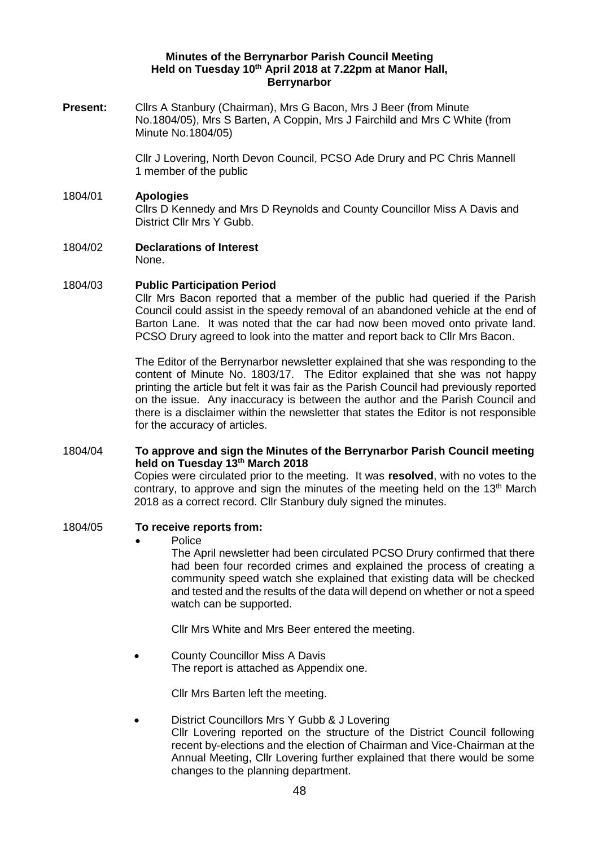### **Minutes of the Berrynarbor Parish Council Meeting Held on Tuesday 10th April 2018 at 7.22pm at Manor Hall, Berrynarbor**

**Present:** Cllrs A Stanbury (Chairman), Mrs G Bacon, Mrs J Beer (from Minute No.1804/05), Mrs S Barten, A Coppin, Mrs J Fairchild and Mrs C White (from Minute No.1804/05)

> Cllr J Lovering, North Devon Council, PCSO Ade Drury and PC Chris Mannell 1 member of the public

### 1804/01 **Apologies**

Cllrs D Kennedy and Mrs D Reynolds and County Councillor Miss A Davis and District Cllr Mrs Y Gubb.

1804/02 **Declarations of Interest**  None.

#### 1804/03 **Public Participation Period**

Cllr Mrs Bacon reported that a member of the public had queried if the Parish Council could assist in the speedy removal of an abandoned vehicle at the end of Barton Lane. It was noted that the car had now been moved onto private land. PCSO Drury agreed to look into the matter and report back to Cllr Mrs Bacon.

The Editor of the Berrynarbor newsletter explained that she was responding to the content of Minute No. 1803/17. The Editor explained that she was not happy printing the article but felt it was fair as the Parish Council had previously reported on the issue. Any inaccuracy is between the author and the Parish Council and there is a disclaimer within the newsletter that states the Editor is not responsible for the accuracy of articles.

### 1804/04 **To approve and sign the Minutes of the Berrynarbor Parish Council meeting held on Tuesday 13th March 2018**

Copies were circulated prior to the meeting. It was **resolved**, with no votes to the contrary, to approve and sign the minutes of the meeting held on the 13<sup>th</sup> March 2018 as a correct record. Cllr Stanbury duly signed the minutes.

## 1804/05 **To receive reports from:**

**Police** 

The April newsletter had been circulated PCSO Drury confirmed that there had been four recorded crimes and explained the process of creating a community speed watch she explained that existing data will be checked and tested and the results of the data will depend on whether or not a speed watch can be supported.

Cllr Mrs White and Mrs Beer entered the meeting.

• County Councillor Miss A Davis The report is attached as Appendix one.

Cllr Mrs Barten left the meeting.

• District Councillors Mrs Y Gubb & J Lovering Cllr Lovering reported on the structure of the District Council following recent by-elections and the election of Chairman and Vice-Chairman at the Annual Meeting, Cllr Lovering further explained that there would be some changes to the planning department.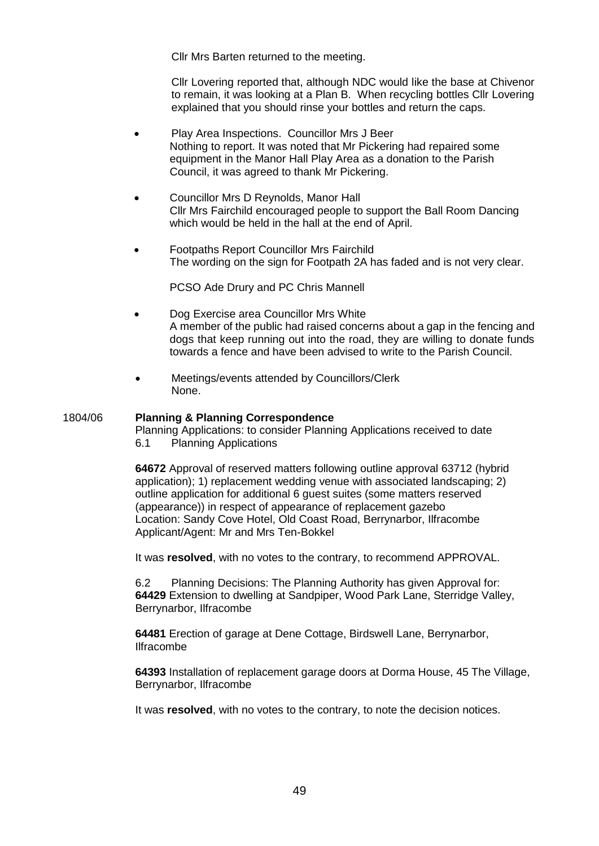Cllr Mrs Barten returned to the meeting.

Cllr Lovering reported that, although NDC would like the base at Chivenor to remain, it was looking at a Plan B. When recycling bottles Cllr Lovering explained that you should rinse your bottles and return the caps.

- Play Area Inspections. Councillor Mrs J Beer Nothing to report. It was noted that Mr Pickering had repaired some equipment in the Manor Hall Play Area as a donation to the Parish Council, it was agreed to thank Mr Pickering.
- Councillor Mrs D Reynolds, Manor Hall Cllr Mrs Fairchild encouraged people to support the Ball Room Dancing which would be held in the hall at the end of April.
- Footpaths Report Councillor Mrs Fairchild The wording on the sign for Footpath 2A has faded and is not very clear.

PCSO Ade Drury and PC Chris Mannell

- Dog Exercise area Councillor Mrs White A member of the public had raised concerns about a gap in the fencing and dogs that keep running out into the road, they are willing to donate funds towards a fence and have been advised to write to the Parish Council.
- Meetings/events attended by Councillors/Clerk None.

### 1804/06 **Planning & Planning Correspondence**

Planning Applications: to consider Planning Applications received to date 6.1 Planning Applications

**64672** Approval of reserved matters following outline approval 63712 (hybrid application); 1) replacement wedding venue with associated landscaping; 2) outline application for additional 6 guest suites (some matters reserved (appearance)) in respect of appearance of replacement gazebo Location: Sandy Cove Hotel, Old Coast Road, Berrynarbor, Ilfracombe Applicant/Agent: Mr and Mrs Ten-Bokkel

It was **resolved**, with no votes to the contrary, to recommend APPROVAL.

6.2 Planning Decisions: The Planning Authority has given Approval for: **64429** Extension to dwelling at Sandpiper, Wood Park Lane, Sterridge Valley, Berrynarbor, Ilfracombe

**64481** Erection of garage at Dene Cottage, Birdswell Lane, Berrynarbor, Ilfracombe

**64393** Installation of replacement garage doors at Dorma House, 45 The Village, Berrynarbor, Ilfracombe

It was **resolved**, with no votes to the contrary, to note the decision notices.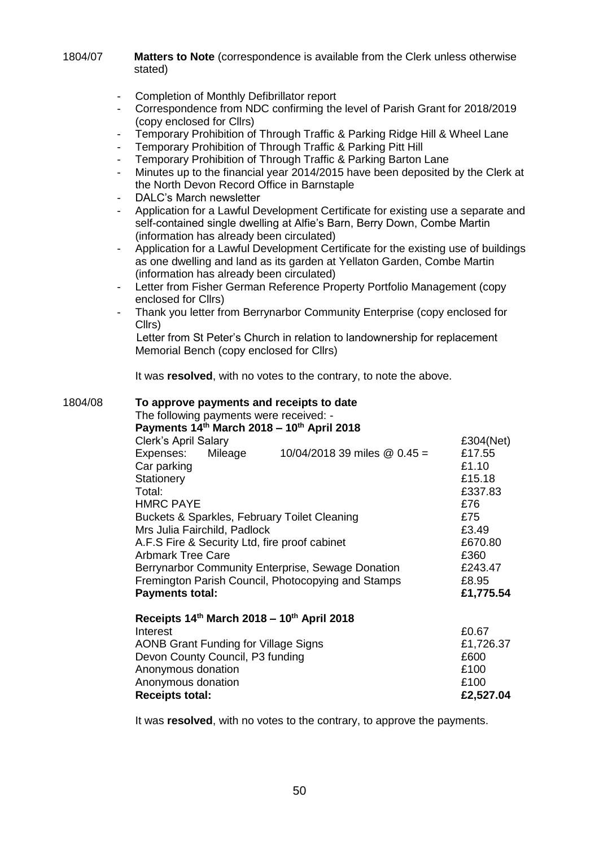1804/07 **Matters to Note** (correspondence is available from the Clerk unless otherwise stated)

- Completion of Monthly Defibrillator report
- Correspondence from NDC confirming the level of Parish Grant for 2018/2019 (copy enclosed for Cllrs)
- Temporary Prohibition of Through Traffic & Parking Ridge Hill & Wheel Lane
- Temporary Prohibition of Through Traffic & Parking Pitt Hill
- Temporary Prohibition of Through Traffic & Parking Barton Lane
- Minutes up to the financial year 2014/2015 have been deposited by the Clerk at the North Devon Record Office in Barnstaple
- DALC's March newsletter
- Application for a Lawful Development Certificate for existing use a separate and self-contained single dwelling at Alfie's Barn, Berry Down, Combe Martin (information has already been circulated)
- Application for a Lawful Development Certificate for the existing use of buildings as one dwelling and land as its garden at Yellaton Garden, Combe Martin (information has already been circulated)
- Letter from Fisher German Reference Property Portfolio Management (copy) enclosed for Cllrs)
- Thank you letter from Berrynarbor Community Enterprise (copy enclosed for Cllrs)

Letter from St Peter's Church in relation to landownership for replacement Memorial Bench (copy enclosed for Cllrs)

It was **resolved**, with no votes to the contrary, to note the above.

| 1804/08 | To approve payments and receipts to date<br>The following payments were received: -<br>Payments $14th$ March 2018 – 10 <sup>th</sup> April 2018 |                                |           |
|---------|-------------------------------------------------------------------------------------------------------------------------------------------------|--------------------------------|-----------|
|         | <b>Clerk's April Salary</b>                                                                                                                     |                                | £304(Net) |
|         | Expenses:<br>Mileage                                                                                                                            | 10/04/2018 39 miles $@$ 0.45 = | £17.55    |
|         | Car parking                                                                                                                                     |                                | £1.10     |
|         | Stationery                                                                                                                                      |                                | £15.18    |
|         | Total:                                                                                                                                          |                                | £337.83   |
|         | <b>HMRC PAYE</b>                                                                                                                                |                                | £76       |
|         | Buckets & Sparkles, February Toilet Cleaning                                                                                                    |                                | £75       |
|         | Mrs Julia Fairchild, Padlock                                                                                                                    |                                | £3.49     |
|         | A.F.S Fire & Security Ltd, fire proof cabinet                                                                                                   |                                | £670.80   |
|         | <b>Arbmark Tree Care</b>                                                                                                                        |                                | £360      |
|         | Berrynarbor Community Enterprise, Sewage Donation                                                                                               |                                | £243.47   |
|         | Fremington Parish Council, Photocopying and Stamps                                                                                              |                                | £8.95     |
|         | <b>Payments total:</b>                                                                                                                          |                                | £1,775.54 |
|         | Receipts 14th March 2018 - 10th April 2018                                                                                                      |                                |           |
|         | Interest                                                                                                                                        |                                | £0.67     |
|         | <b>AONB Grant Funding for Village Signs</b>                                                                                                     |                                | £1,726.37 |
|         | Devon County Council, P3 funding                                                                                                                |                                | £600      |
|         | Anonymous donation                                                                                                                              |                                | £100      |
|         | Anonymous donation                                                                                                                              |                                | £100      |
|         | <b>Receipts total:</b>                                                                                                                          |                                | £2,527.04 |
|         |                                                                                                                                                 |                                |           |

It was **resolved**, with no votes to the contrary, to approve the payments.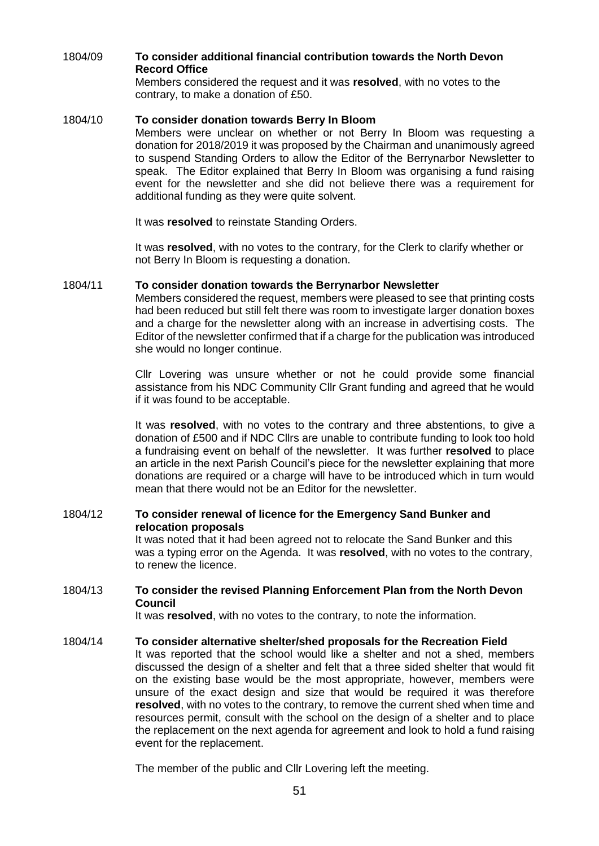# 1804/09 **To consider additional financial contribution towards the North Devon Record Office**

Members considered the request and it was **resolved**, with no votes to the contrary, to make a donation of £50.

### 1804/10 **To consider donation towards Berry In Bloom**

Members were unclear on whether or not Berry In Bloom was requesting a donation for 2018/2019 it was proposed by the Chairman and unanimously agreed to suspend Standing Orders to allow the Editor of the Berrynarbor Newsletter to speak. The Editor explained that Berry In Bloom was organising a fund raising event for the newsletter and she did not believe there was a requirement for additional funding as they were quite solvent.

It was **resolved** to reinstate Standing Orders.

It was **resolved**, with no votes to the contrary, for the Clerk to clarify whether or not Berry In Bloom is requesting a donation.

## 1804/11 **To consider donation towards the Berrynarbor Newsletter**

Members considered the request, members were pleased to see that printing costs had been reduced but still felt there was room to investigate larger donation boxes and a charge for the newsletter along with an increase in advertising costs. The Editor of the newsletter confirmed that if a charge for the publication was introduced she would no longer continue.

Cllr Lovering was unsure whether or not he could provide some financial assistance from his NDC Community Cllr Grant funding and agreed that he would if it was found to be acceptable.

It was **resolved**, with no votes to the contrary and three abstentions, to give a donation of £500 and if NDC Cllrs are unable to contribute funding to look too hold a fundraising event on behalf of the newsletter. It was further **resolved** to place an article in the next Parish Council's piece for the newsletter explaining that more donations are required or a charge will have to be introduced which in turn would mean that there would not be an Editor for the newsletter.

# 1804/12 **To consider renewal of licence for the Emergency Sand Bunker and relocation proposals**

It was noted that it had been agreed not to relocate the Sand Bunker and this was a typing error on the Agenda. It was **resolved**, with no votes to the contrary, to renew the licence.

# 1804/13 **To consider the revised Planning Enforcement Plan from the North Devon Council**

It was **resolved**, with no votes to the contrary, to note the information.

#### 1804/14 **To consider alternative shelter/shed proposals for the Recreation Field**

It was reported that the school would like a shelter and not a shed, members discussed the design of a shelter and felt that a three sided shelter that would fit on the existing base would be the most appropriate, however, members were unsure of the exact design and size that would be required it was therefore **resolved**, with no votes to the contrary, to remove the current shed when time and resources permit, consult with the school on the design of a shelter and to place the replacement on the next agenda for agreement and look to hold a fund raising event for the replacement.

The member of the public and Cllr Lovering left the meeting.